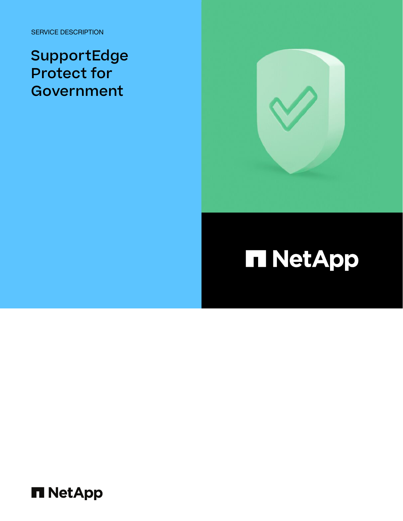SERVICE DESCRIPTION

SupportEdge Protect for Government